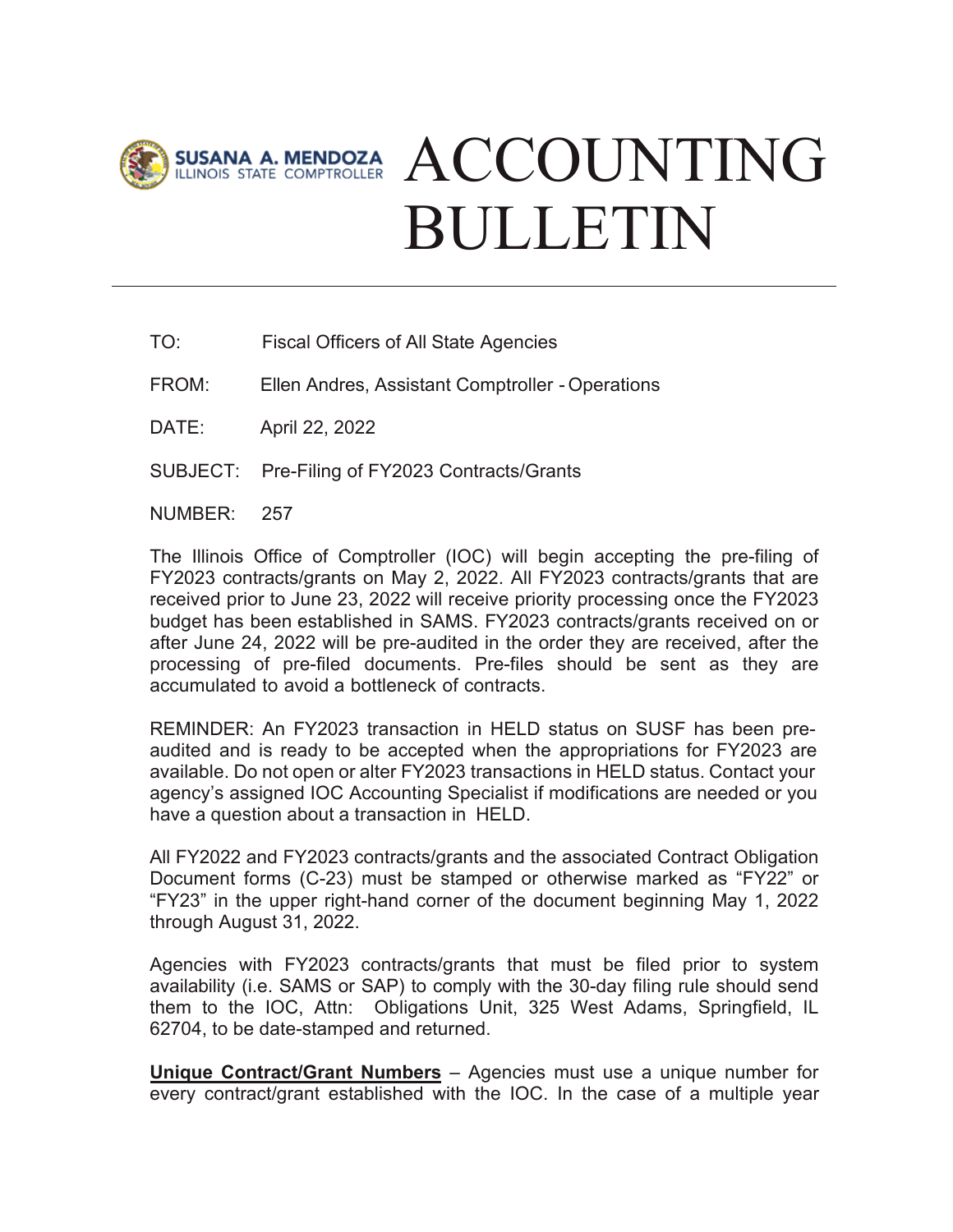

## SUSANA A. MENDOZA ACCOUNTING BULLETIN

- TO: Fiscal Officers of All State Agencies
- FROM: Ellen Andres, Assistant Comptroller - Operations
- DATE: April 22, 2022
- SUBJECT: Pre-Filing of FY2023 Contracts/Grants
- NUMBER: 257

The Illinois Office of Comptroller (IOC) will begin accepting the pre-filing of FY2023 contracts/grants on May 2, 2022. All FY2023 contracts/grants that are received prior to June 23, 2022 will receive priority processing once the FY2023 budget has been established in SAMS. FY2023 contracts/grants received on or after June 24, 2022 will be pre-audited in the order they are received, after the processing of pre-filed documents. Pre-files should be sent as they are accumulated to avoid a bottleneck of contracts.

[REMINDER: An FY202](mailto:sally.gosda@illinoiscomptroller.gov)3 transaction in HELD status on SUSF has been preaudited and is ready to be accepted when the appropriations for FY2023 are available. Do not open or alter FY2023 transactions in HELD status. Contact your agency's assigned IOC Accounting Specialist if modifications are needed or you have a question about a transaction in HELD.

All FY2022 and FY2023 contracts/grants and the associated Contract Obligation Document forms (C-23) must be stamped or otherwise marked as "FY22" or "FY23" in the upper right-hand corner of the document beginning May 1, 2022 through August 31, 2022.

Agencies with FY2023 contracts/grants that must be filed prior to system availability (i.e. SAMS or SAP) to comply with the 30-day filing rule should send them to the IOC, Attn: Obligations Unit, 325 West Adams, Springfield, IL 62704, to be date-stamped and returned.

**Unique Contract/Grant Numbers** – Agencies must use a unique number for every contract/grant established with the IOC. In the case of a multiple year